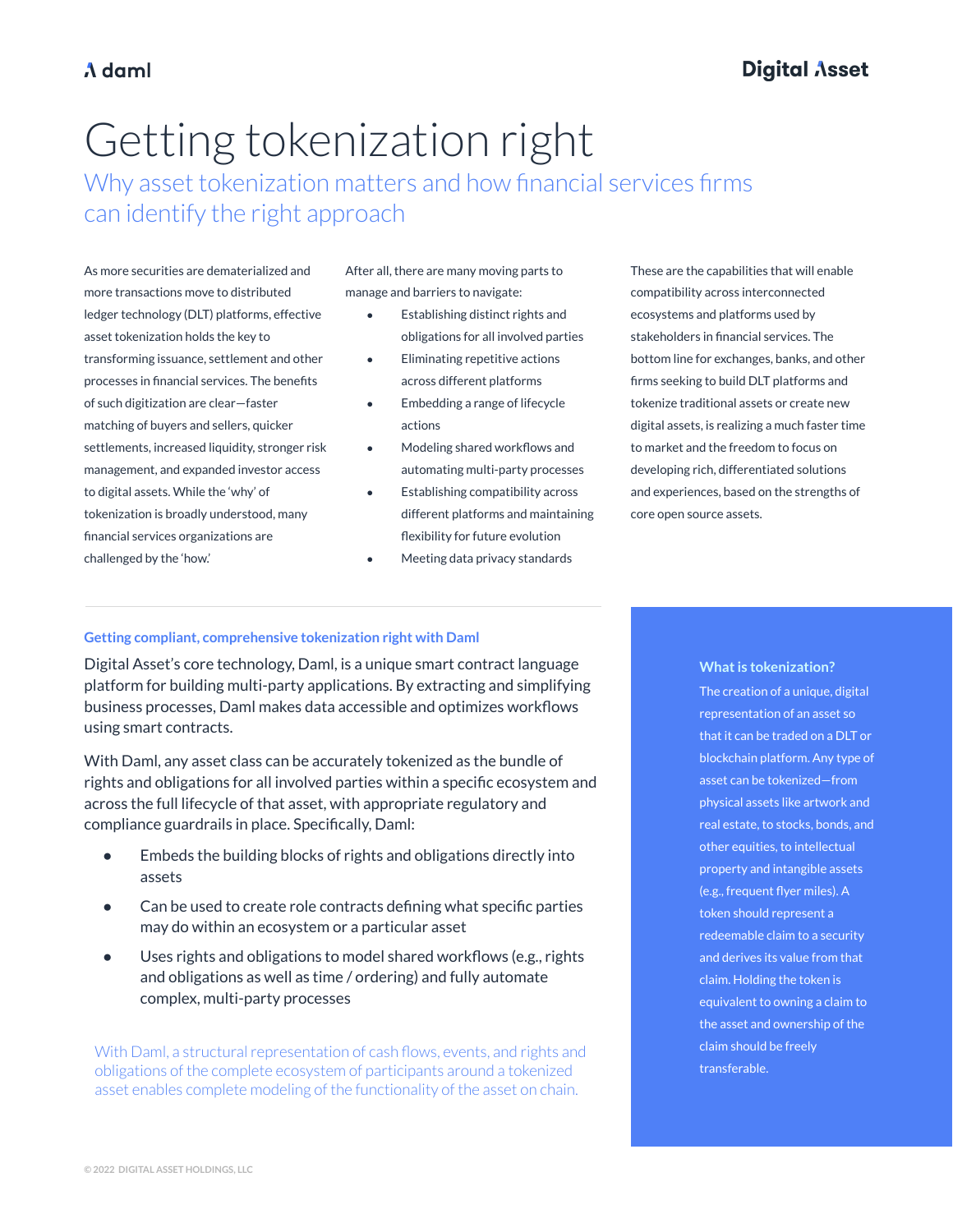# Getting tokenization right

Why asset tokenization matters and how financial services firms can identify the right approach

As more securities are dematerialized and more transactions move to distributed ledger technology (DLT) platforms, effective asset tokenization holds the key to transforming issuance, settlement and other processes in financial services. The benefits of such digitization are clear—faster matching of buyers and sellers, quicker settlements, increased liquidity, stronger risk management, and expanded investor access to digital assets. While the 'why' of tokenization is broadly understood, many financial services organizations are challenged by the 'how.'

After all, there are many moving parts to manage and barriers to navigate:

- Establishing distinct rights and obligations for all involved parties
- **Eliminating repetitive actions** across different platforms
- Embedding a range of lifecycle actions
- Modeling shared workflows and automating multi-party processes
- Establishing compatibility across different platforms and maintaining flexibility for future evolution
- Meeting data privacy standards

These are the capabilities that will enable compatibility across interconnected ecosystems and platforms used by stakeholders in financial services. The bottom line for exchanges, banks, and other firms seeking to build DLT platforms and tokenize traditional assets or create new digital assets, is realizing a much faster time to market and the freedom to focus on developing rich, differentiated solutions and experiences, based on the strengths of core open source assets.

### **Getting compliant, comprehensive tokenization right with Daml**

Digital Asset's core technology, Daml, is a unique smart contract language platform for building multi-party applications. By extracting and simplifying business processes, Daml makes data accessible and optimizes workflows using smart contracts.

With Daml, any asset class can be accurately tokenized as the bundle of rights and obligations for all involved parties within a specific ecosystem and across the full lifecycle of that asset, with appropriate regulatory and compliance guardrails in place. Specifically, Daml:

- Embeds the building blocks of rights and obligations directly into assets
- Can be used to create role contracts defining what specific parties may do within an ecosystem or a particular asset
- Uses rights and obligations to model shared workflows (e.g., rights and obligations as well as time / ordering) and fully automate complex, multi-party processes

With Daml, a structural representation of cash flows, events, and rights and obligations of the complete ecosystem of participants around a tokenized asset enables complete modeling of the functionality of the asset on chain.

**What is tokenization?** The creation of a unique, digital representation of an asset so that it can be traded on a DLT or blockchain platform. Any type of asset can be tokenized—from physical assets like artwork and real estate, to stocks, bonds, and other equities, to intellectual property and intangible assets (e.g., frequent flyer miles). A token should represent a redeemable claim to a security and derives its value from that claim. Holding the token is equivalent to owning a claim to the asset and ownership of the claim should be freely transferable.